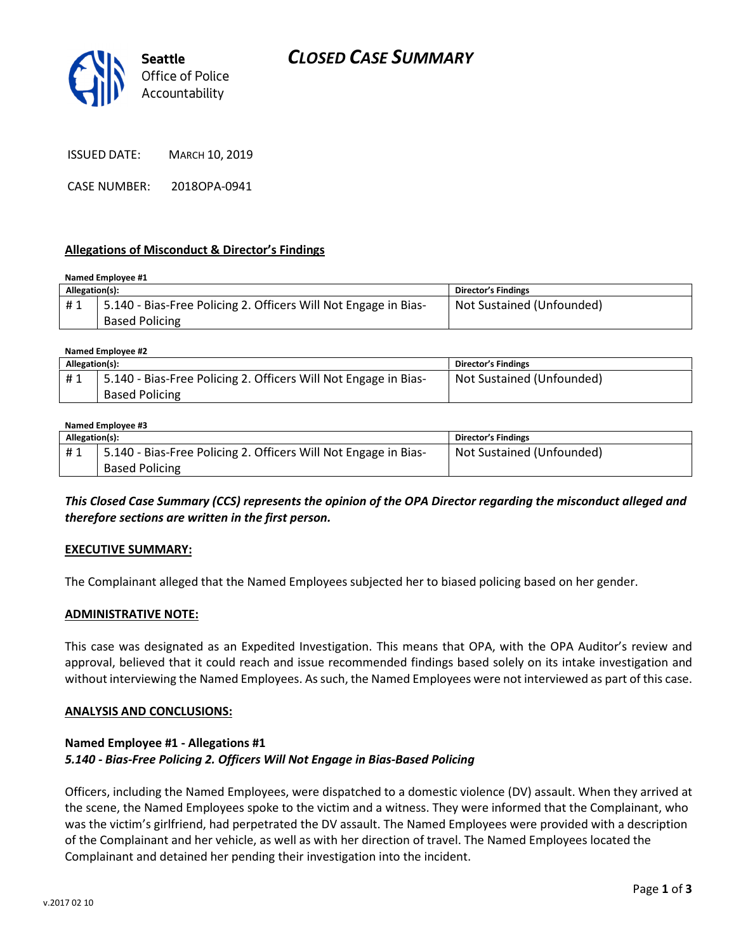

CASE NUMBER: 2018OPA-0941

## Allegations of Misconduct & Director's Findings

#### Named Employee #1 Allegation(s): Director's Findings # 1 | 5.140 - Bias-Free Policing 2. Officers Will Not Engage in Bias-Based Policing Not Sustained (Unfounded)

#### Named Employee #2

| Allegation(s): |                                                                 | <b>Director's Findings</b> |
|----------------|-----------------------------------------------------------------|----------------------------|
| #1             | 5.140 - Bias-Free Policing 2. Officers Will Not Engage in Bias- | Not Sustained (Unfounded)  |
|                | <b>Based Policing</b>                                           |                            |

#### Named Employee #3

| Allegation(s): |                                                                 | <b>Director's Findings</b> |
|----------------|-----------------------------------------------------------------|----------------------------|
| #1             | 5.140 - Bias-Free Policing 2. Officers Will Not Engage in Bias- | Not Sustained (Unfounded)  |
|                | <b>Based Policing</b>                                           |                            |

## This Closed Case Summary (CCS) represents the opinion of the OPA Director regarding the misconduct alleged and therefore sections are written in the first person.

## EXECUTIVE SUMMARY:

The Complainant alleged that the Named Employees subjected her to biased policing based on her gender.

## ADMINISTRATIVE NOTE:

This case was designated as an Expedited Investigation. This means that OPA, with the OPA Auditor's review and approval, believed that it could reach and issue recommended findings based solely on its intake investigation and without interviewing the Named Employees. As such, the Named Employees were not interviewed as part of this case.

## ANALYSIS AND CONCLUSIONS:

## Named Employee #1 - Allegations #1 5.140 - Bias-Free Policing 2. Officers Will Not Engage in Bias-Based Policing

Officers, including the Named Employees, were dispatched to a domestic violence (DV) assault. When they arrived at the scene, the Named Employees spoke to the victim and a witness. They were informed that the Complainant, who was the victim's girlfriend, had perpetrated the DV assault. The Named Employees were provided with a description of the Complainant and her vehicle, as well as with her direction of travel. The Named Employees located the Complainant and detained her pending their investigation into the incident.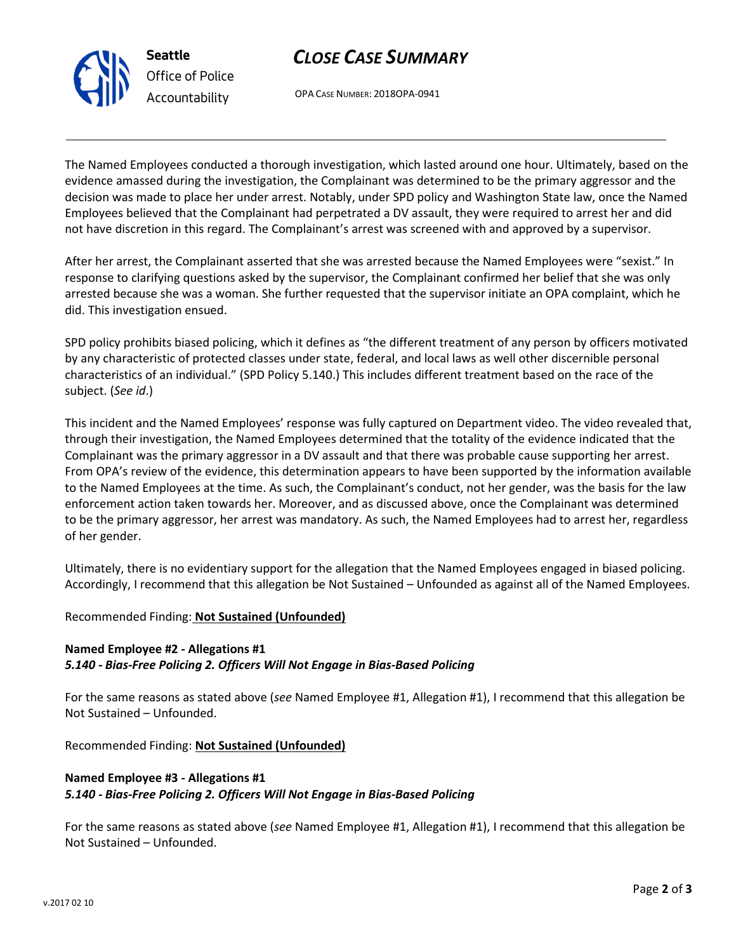



OPA CASE NUMBER: 2018OPA-0941

The Named Employees conducted a thorough investigation, which lasted around one hour. Ultimately, based on the evidence amassed during the investigation, the Complainant was determined to be the primary aggressor and the decision was made to place her under arrest. Notably, under SPD policy and Washington State law, once the Named Employees believed that the Complainant had perpetrated a DV assault, they were required to arrest her and did not have discretion in this regard. The Complainant's arrest was screened with and approved by a supervisor.

After her arrest, the Complainant asserted that she was arrested because the Named Employees were "sexist." In response to clarifying questions asked by the supervisor, the Complainant confirmed her belief that she was only arrested because she was a woman. She further requested that the supervisor initiate an OPA complaint, which he did. This investigation ensued.

SPD policy prohibits biased policing, which it defines as "the different treatment of any person by officers motivated by any characteristic of protected classes under state, federal, and local laws as well other discernible personal characteristics of an individual." (SPD Policy 5.140.) This includes different treatment based on the race of the subject. (See id.)

This incident and the Named Employees' response was fully captured on Department video. The video revealed that, through their investigation, the Named Employees determined that the totality of the evidence indicated that the Complainant was the primary aggressor in a DV assault and that there was probable cause supporting her arrest. From OPA's review of the evidence, this determination appears to have been supported by the information available to the Named Employees at the time. As such, the Complainant's conduct, not her gender, was the basis for the law enforcement action taken towards her. Moreover, and as discussed above, once the Complainant was determined to be the primary aggressor, her arrest was mandatory. As such, the Named Employees had to arrest her, regardless of her gender.

Ultimately, there is no evidentiary support for the allegation that the Named Employees engaged in biased policing. Accordingly, I recommend that this allegation be Not Sustained – Unfounded as against all of the Named Employees.

# Recommended Finding: Not Sustained (Unfounded)

# Named Employee #2 - Allegations #1 5.140 - Bias-Free Policing 2. Officers Will Not Engage in Bias-Based Policing

For the same reasons as stated above (see Named Employee #1, Allegation #1), I recommend that this allegation be Not Sustained – Unfounded.

Recommended Finding: Not Sustained (Unfounded)

## Named Employee #3 - Allegations #1 5.140 - Bias-Free Policing 2. Officers Will Not Engage in Bias-Based Policing

For the same reasons as stated above (see Named Employee #1, Allegation #1), I recommend that this allegation be Not Sustained – Unfounded.